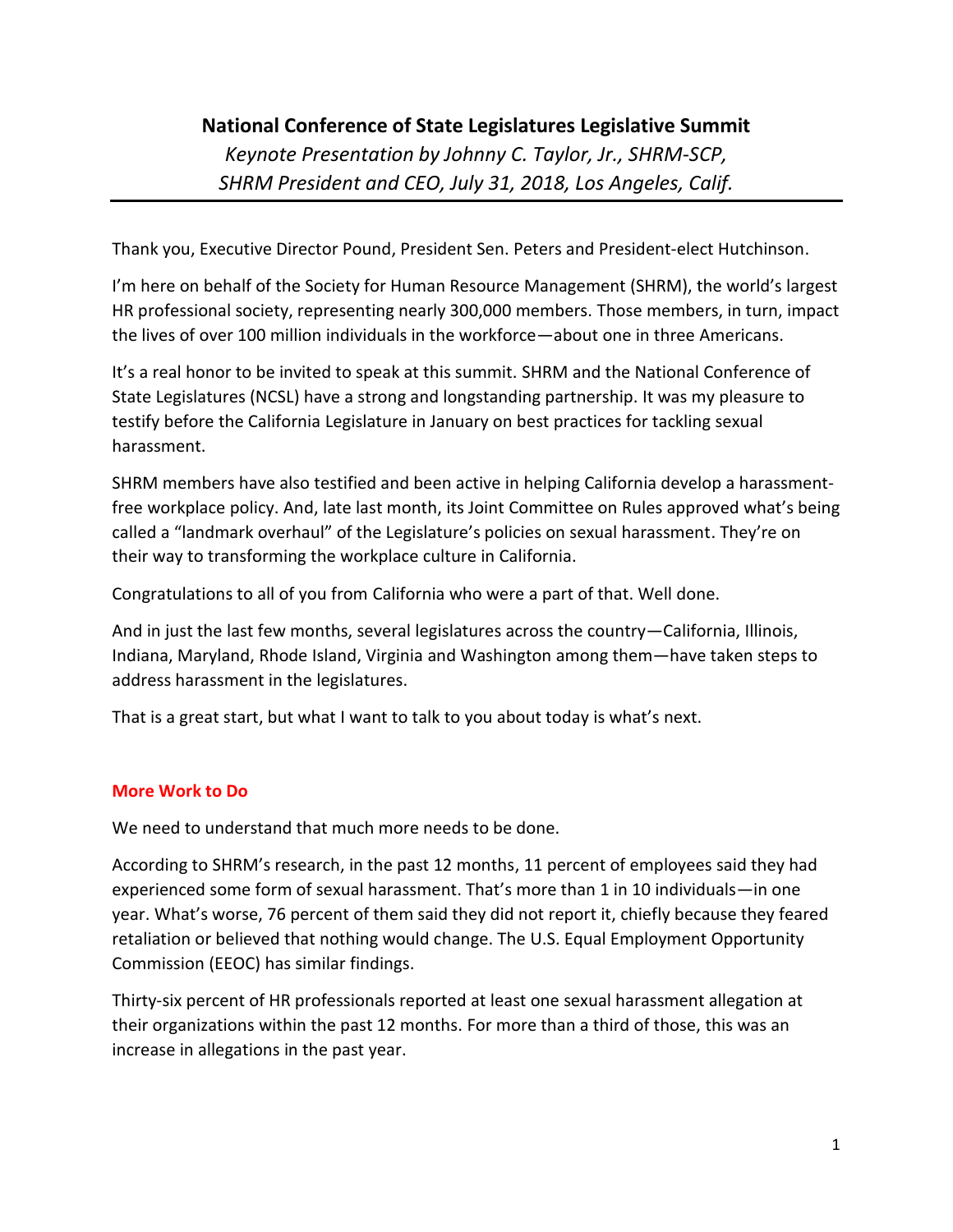# **National Conference of State Legislatures Legislative Summit**

*Keynote Presentation by Johnny C. Taylor, Jr., SHRM-SCP, SHRM President and CEO, July 31, 2018, Los Angeles, Calif.*

Thank you, Executive Director Pound, President Sen. Peters and President-elect Hutchinson.

I'm here on behalf of the Society for Human Resource Management (SHRM), the world's largest HR professional society, representing nearly 300,000 members. Those members, in turn, impact the lives of over 100 million individuals in the workforce—about one in three Americans.

It's a real honor to be invited to speak at this summit. SHRM and the National Conference of State Legislatures (NCSL) have a strong and longstanding partnership. It was my pleasure to testify before the California Legislature in January on best practices for tackling sexual harassment.

SHRM members have also testified and been active in helping California develop a harassmentfree workplace policy. And, late last month, its Joint Committee on Rules approved what's being called a "landmark overhaul" of the Legislature's policies on sexual harassment. They're on their way to transforming the workplace culture in California.

Congratulations to all of you from California who were a part of that. Well done.

And in just the last few months, several legislatures across the country—California, Illinois, Indiana, Maryland, Rhode Island, Virginia and Washington among them—have taken steps to address harassment in the legislatures.

That is a great start, but what I want to talk to you about today is what's next.

# **More Work to Do**

We need to understand that much more needs to be done.

According to SHRM's research, in the past 12 months, 11 percent of employees said they had experienced some form of sexual harassment. That's more than 1 in 10 individuals—in one year. What's worse, 76 percent of them said they did not report it, chiefly because they feared retaliation or believed that nothing would change. The U.S. Equal Employment Opportunity Commission (EEOC) has similar findings.

Thirty-six percent of HR professionals reported at least one sexual harassment allegation at their organizations within the past 12 months. For more than a third of those, this was an increase in allegations in the past year.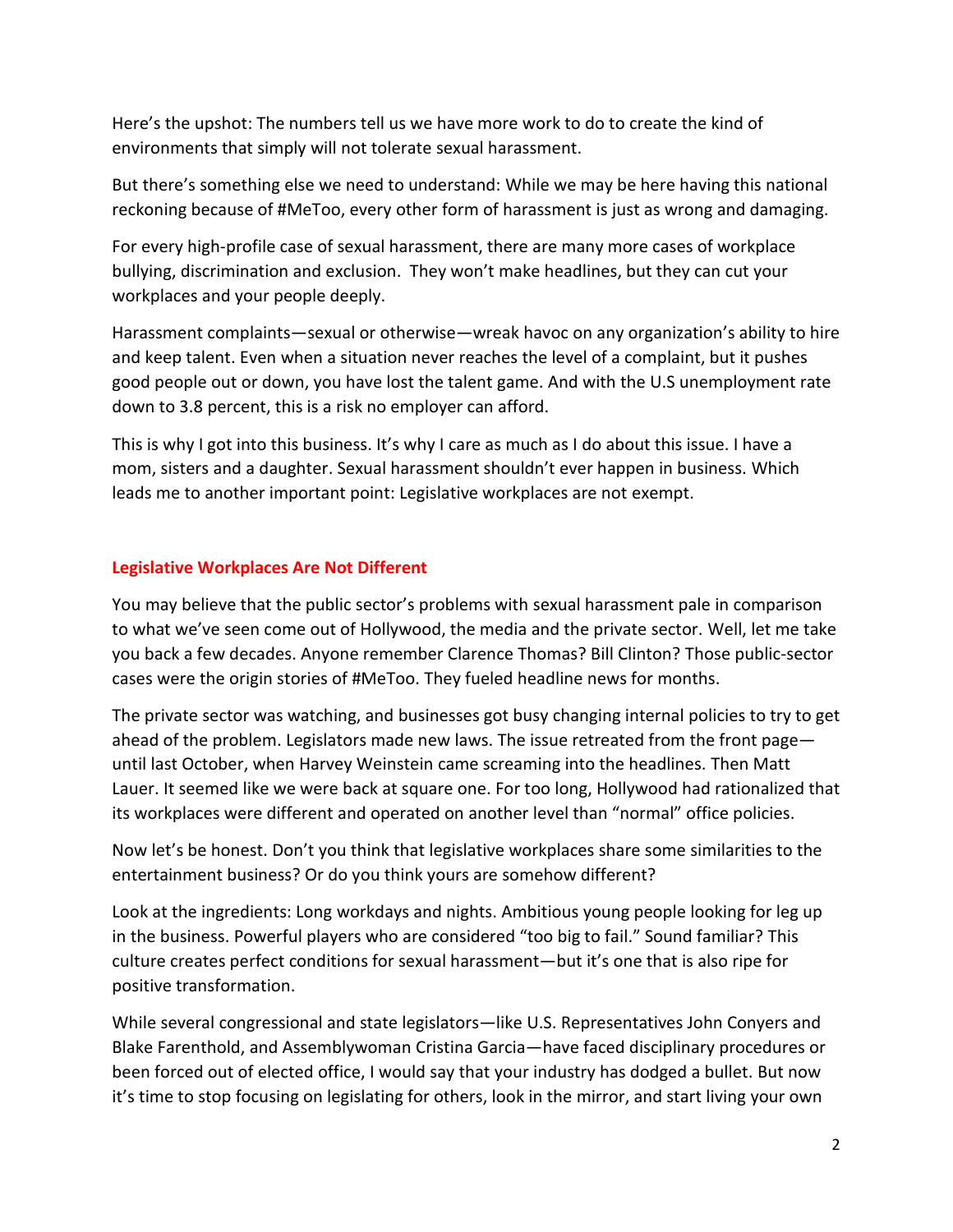Here's the upshot: The numbers tell us we have more work to do to create the kind of environments that simply will not tolerate sexual harassment.

But there's something else we need to understand: While we may be here having this national reckoning because of #MeToo, every other form of harassment is just as wrong and damaging.

For every high-profile case of sexual harassment, there are many more cases of workplace bullying, discrimination and exclusion. They won't make headlines, but they can cut your workplaces and your people deeply.

Harassment complaints—sexual or otherwise—wreak havoc on any organization's ability to hire and keep talent. Even when a situation never reaches the level of a complaint, but it pushes good people out or down, you have lost the talent game. And with the U.S unemployment rate down to 3.8 percent, this is a risk no employer can afford.

This is why I got into this business. It's why I care as much as I do about this issue. I have a mom, sisters and a daughter. Sexual harassment shouldn't ever happen in business. Which leads me to another important point: Legislative workplaces are not exempt.

# **Legislative Workplaces Are Not Different**

You may believe that the public sector's problems with sexual harassment pale in comparison to what we've seen come out of Hollywood, the media and the private sector. Well, let me take you back a few decades. Anyone remember Clarence Thomas? Bill Clinton? Those public-sector cases were the origin stories of #MeToo. They fueled headline news for months.

The private sector was watching, and businesses got busy changing internal policies to try to get ahead of the problem. Legislators made new laws. The issue retreated from the front page until last October, when Harvey Weinstein came screaming into the headlines. Then Matt Lauer. It seemed like we were back at square one. For too long, Hollywood had rationalized that its workplaces were different and operated on another level than "normal" office policies.

Now let's be honest. Don't you think that legislative workplaces share some similarities to the entertainment business? Or do you think yours are somehow different?

Look at the ingredients: Long workdays and nights. Ambitious young people looking for leg up in the business. Powerful players who are considered "too big to fail." Sound familiar? This culture creates perfect conditions for sexual harassment—but it's one that is also ripe for positive transformation.

While several congressional and state legislators—like U.S. Representatives John Conyers and Blake Farenthold, and Assemblywoman Cristina Garcia—have faced disciplinary procedures or been forced out of elected office, I would say that your industry has dodged a bullet. But now it's time to stop focusing on legislating for others, look in the mirror, and start living your own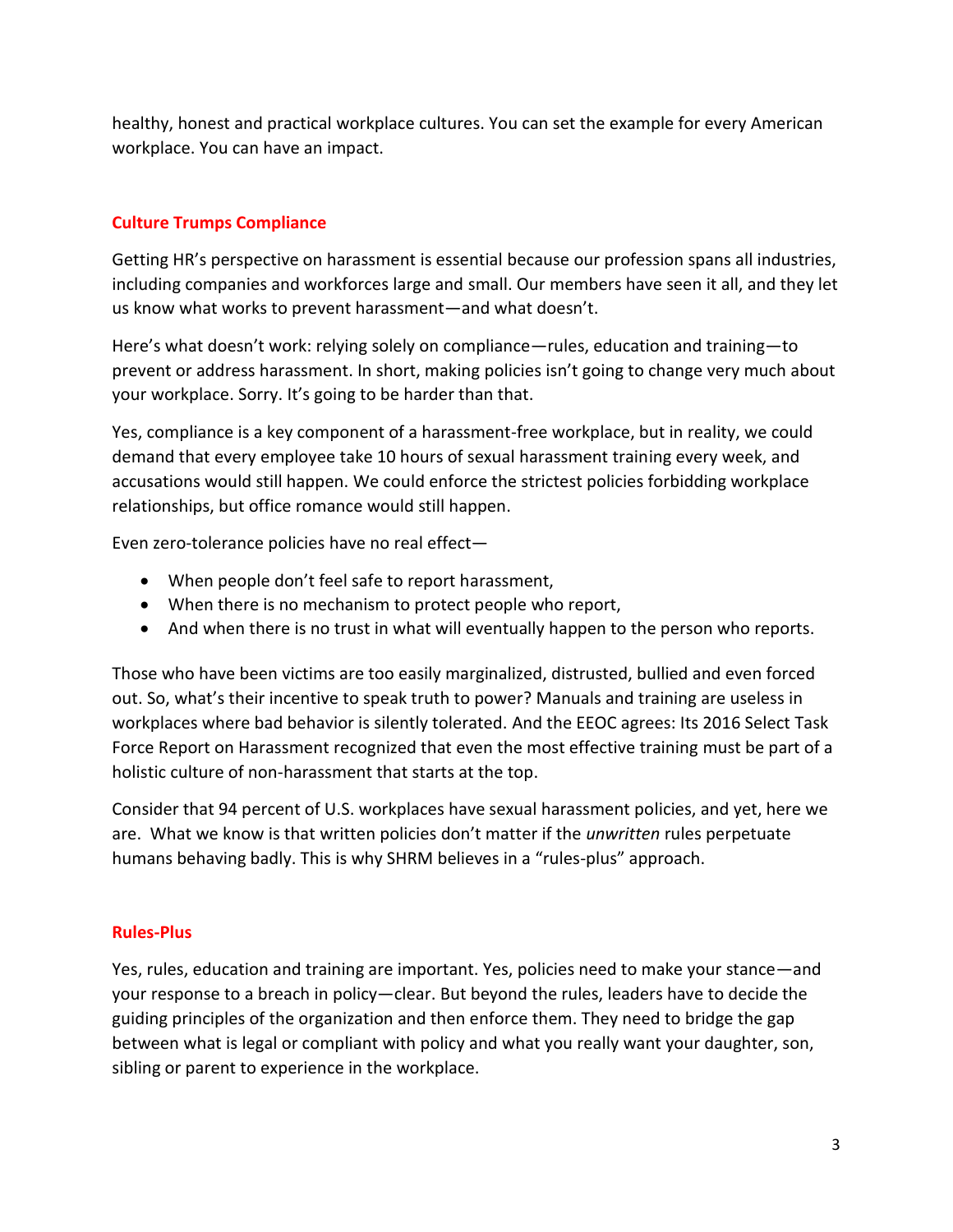healthy, honest and practical workplace cultures. You can set the example for every American workplace. You can have an impact.

# **Culture Trumps Compliance**

Getting HR's perspective on harassment is essential because our profession spans all industries, including companies and workforces large and small. Our members have seen it all, and they let us know what works to prevent harassment—and what doesn't.

Here's what doesn't work: relying solely on compliance—rules, education and training—to prevent or address harassment. In short, making policies isn't going to change very much about your workplace. Sorry. It's going to be harder than that.

Yes, compliance is a key component of a harassment-free workplace, but in reality, we could demand that every employee take 10 hours of sexual harassment training every week, and accusations would still happen. We could enforce the strictest policies forbidding workplace relationships, but office romance would still happen.

Even zero-tolerance policies have no real effect—

- When people don't feel safe to report harassment,
- When there is no mechanism to protect people who report,
- And when there is no trust in what will eventually happen to the person who reports.

Those who have been victims are too easily marginalized, distrusted, bullied and even forced out. So, what's their incentive to speak truth to power? Manuals and training are useless in workplaces where bad behavior is silently tolerated. And the EEOC agrees: Its 2016 Select Task Force Report on Harassment recognized that even the most effective training must be part of a holistic culture of non-harassment that starts at the top.

Consider that 94 percent of U.S. workplaces have sexual harassment policies, and yet, here we are. What we know is that written policies don't matter if the *unwritten* rules perpetuate humans behaving badly. This is why SHRM believes in a "rules-plus" approach.

# **Rules-Plus**

Yes, rules, education and training are important. Yes, policies need to make your stance—and your response to a breach in policy—clear. But beyond the rules, leaders have to decide the guiding principles of the organization and then enforce them. They need to bridge the gap between what is legal or compliant with policy and what you really want your daughter, son, sibling or parent to experience in the workplace.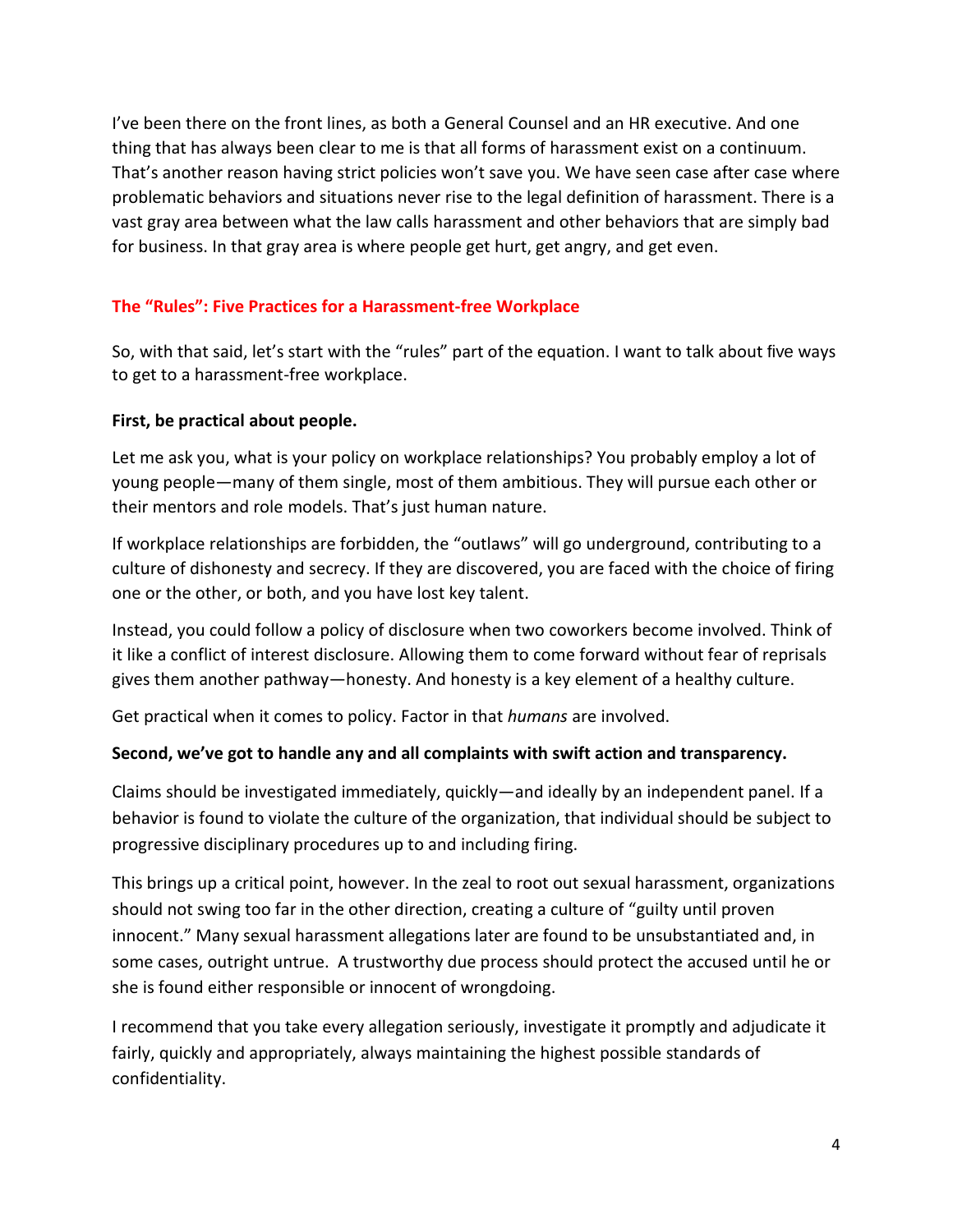I've been there on the front lines, as both a General Counsel and an HR executive. And one thing that has always been clear to me is that all forms of harassment exist on a continuum. That's another reason having strict policies won't save you. We have seen case after case where problematic behaviors and situations never rise to the legal definition of harassment. There is a vast gray area between what the law calls harassment and other behaviors that are simply bad for business. In that gray area is where people get hurt, get angry, and get even.

# **The "Rules": Five Practices for a Harassment-free Workplace**

So, with that said, let's start with the "rules" part of the equation. I want to talk about five ways to get to a harassment-free workplace.

# **First, be practical about people.**

Let me ask you, what is your policy on workplace relationships? You probably employ a lot of young people—many of them single, most of them ambitious. They will pursue each other or their mentors and role models. That's just human nature.

If workplace relationships are forbidden, the "outlaws" will go underground, contributing to a culture of dishonesty and secrecy. If they are discovered, you are faced with the choice of firing one or the other, or both, and you have lost key talent.

Instead, you could follow a policy of disclosure when two coworkers become involved. Think of it like a conflict of interest disclosure. Allowing them to come forward without fear of reprisals gives them another pathway—honesty. And honesty is a key element of a healthy culture.

Get practical when it comes to policy. Factor in that *humans* are involved.

# **Second, we've got to handle any and all complaints with swift action and transparency.**

Claims should be investigated immediately, quickly—and ideally by an independent panel. If a behavior is found to violate the culture of the organization, that individual should be subject to progressive disciplinary procedures up to and including firing.

This brings up a critical point, however. In the zeal to root out sexual harassment, organizations should not swing too far in the other direction, creating a culture of "guilty until proven innocent." Many sexual harassment allegations later are found to be unsubstantiated and, in some cases, outright untrue. A trustworthy due process should protect the accused until he or she is found either responsible or innocent of wrongdoing.

I recommend that you take every allegation seriously, investigate it promptly and adjudicate it fairly, quickly and appropriately, always maintaining the highest possible standards of confidentiality.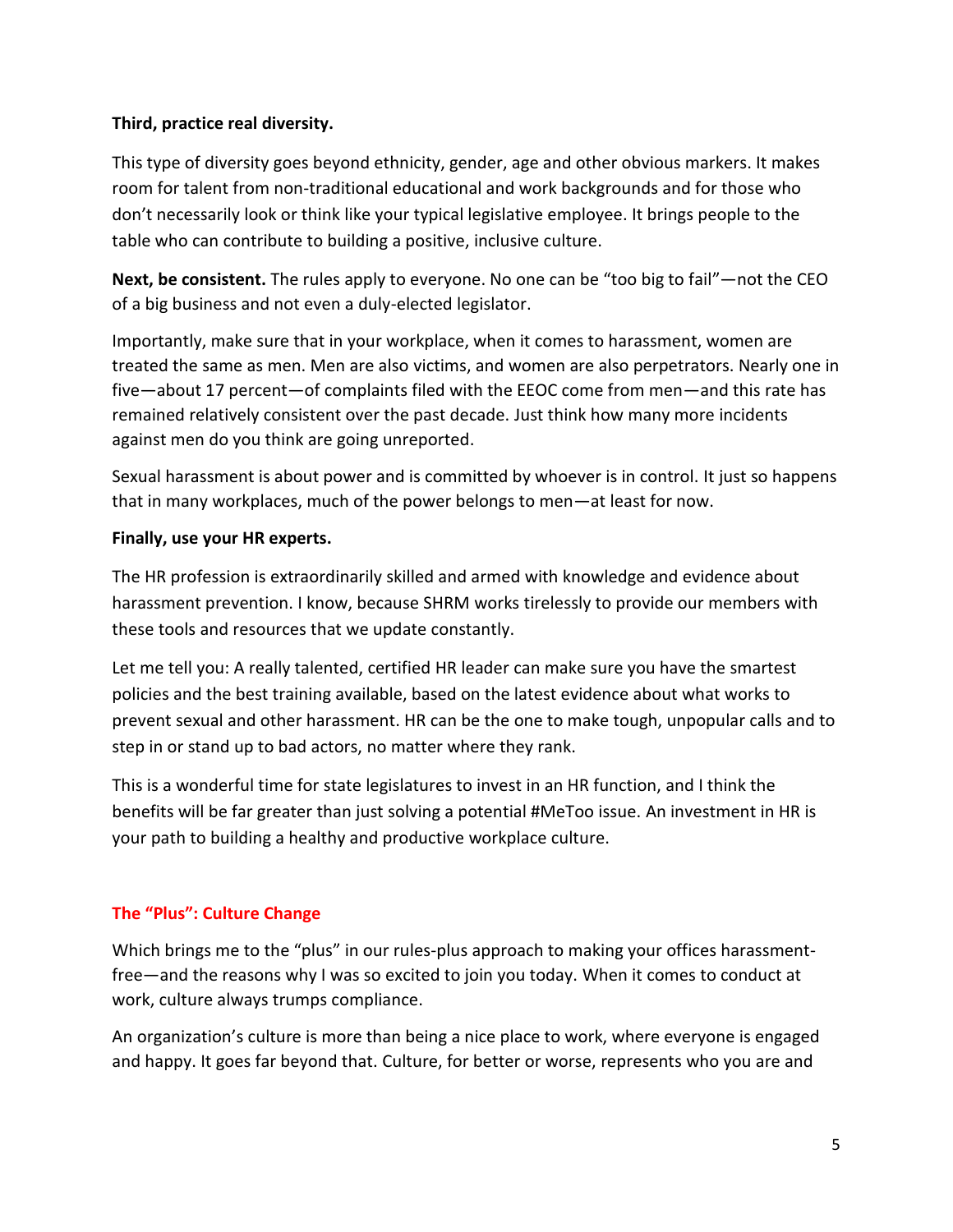#### **Third, practice real diversity.**

This type of diversity goes beyond ethnicity, gender, age and other obvious markers. It makes room for talent from non-traditional educational and work backgrounds and for those who don't necessarily look or think like your typical legislative employee. It brings people to the table who can contribute to building a positive, inclusive culture.

**Next, be consistent.** The rules apply to everyone. No one can be "too big to fail"—not the CEO of a big business and not even a duly-elected legislator.

Importantly, make sure that in your workplace, when it comes to harassment, women are treated the same as men. Men are also victims, and women are also perpetrators. Nearly one in five—about 17 percent—of complaints filed with the EEOC come from men—and this rate has remained relatively consistent over the past decade. Just think how many more incidents against men do you think are going unreported.

Sexual harassment is about power and is committed by whoever is in control. It just so happens that in many workplaces, much of the power belongs to men—at least for now.

#### **Finally, use your HR experts.**

The HR profession is extraordinarily skilled and armed with knowledge and evidence about harassment prevention. I know, because SHRM works tirelessly to provide our members with these tools and resources that we update constantly.

Let me tell you: A really talented, certified HR leader can make sure you have the smartest policies and the best training available, based on the latest evidence about what works to prevent sexual and other harassment. HR can be the one to make tough, unpopular calls and to step in or stand up to bad actors, no matter where they rank.

This is a wonderful time for state legislatures to invest in an HR function, and I think the benefits will be far greater than just solving a potential #MeToo issue. An investment in HR is your path to building a healthy and productive workplace culture.

# **The "Plus": Culture Change**

Which brings me to the "plus" in our rules-plus approach to making your offices harassmentfree—and the reasons why I was so excited to join you today. When it comes to conduct at work, culture always trumps compliance.

An organization's culture is more than being a nice place to work, where everyone is engaged and happy. It goes far beyond that. Culture, for better or worse, represents who you are and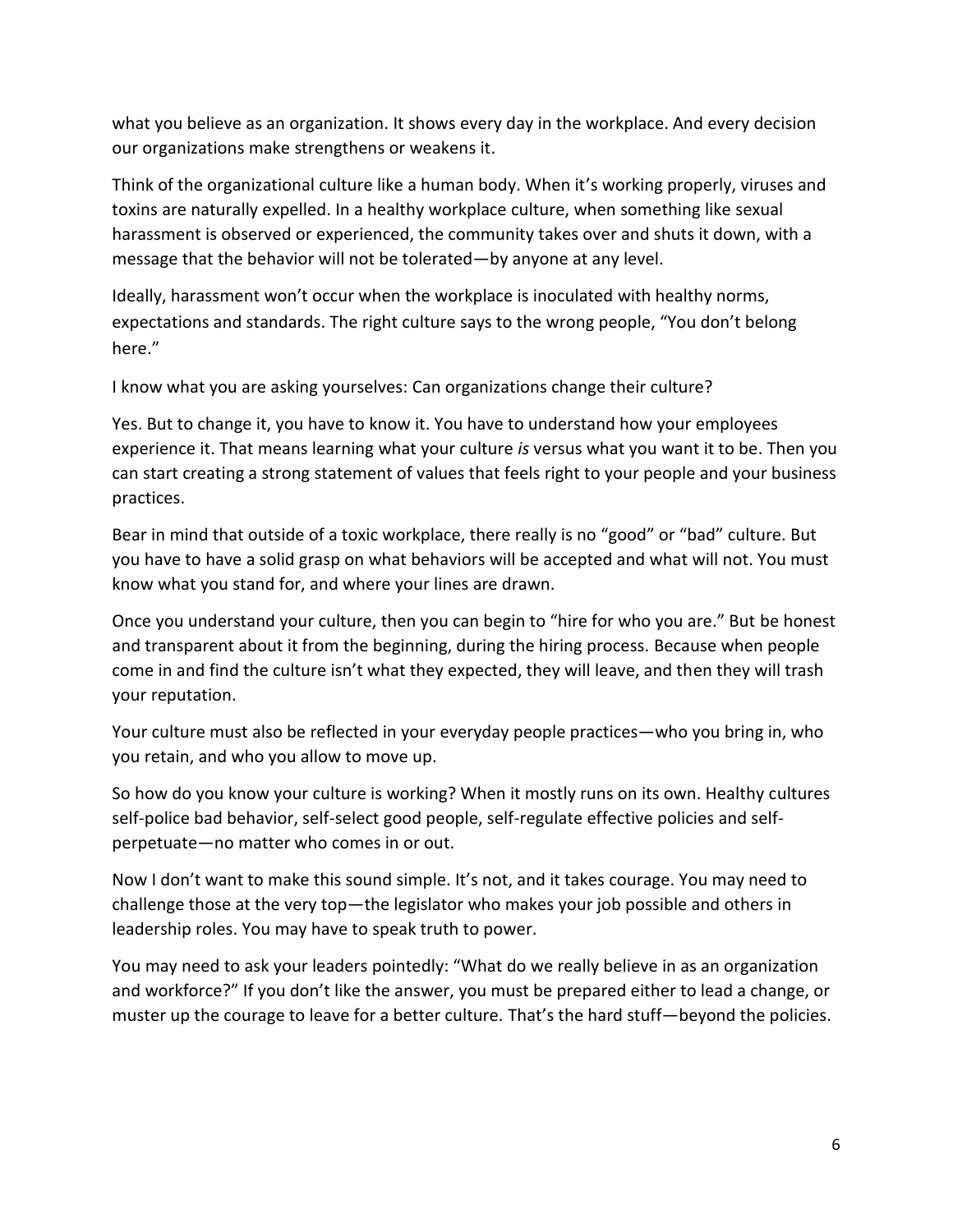what you believe as an organization. It shows every day in the workplace. And every decision our organizations make strengthens or weakens it.

Think of the organizational culture like a human body. When it's working properly, viruses and toxins are naturally expelled. In a healthy workplace culture, when something like sexual harassment is observed or experienced, the community takes over and shuts it down, with a message that the behavior will not be tolerated—by anyone at any level.

Ideally, harassment won't occur when the workplace is inoculated with healthy norms, expectations and standards. The right culture says to the wrong people, "You don't belong here."

I know what you are asking yourselves: Can organizations change their culture?

Yes. But to change it, you have to know it. You have to understand how your employees experience it. That means learning what your culture *is* versus what you want it to be. Then you can start creating a strong statement of values that feels right to your people and your business practices.

Bear in mind that outside of a toxic workplace, there really is no "good" or "bad" culture. But you have to have a solid grasp on what behaviors will be accepted and what will not. You must know what you stand for, and where your lines are drawn.

Once you understand your culture, then you can begin to "hire for who you are." But be honest and transparent about it from the beginning, during the hiring process. Because when people come in and find the culture isn't what they expected, they will leave, and then they will trash your reputation.

Your culture must also be reflected in your everyday people practices—who you bring in, who you retain, and who you allow to move up.

So how do you know your culture is working? When it mostly runs on its own. Healthy cultures self-police bad behavior, self-select good people, self-regulate effective policies and selfperpetuate—no matter who comes in or out.

Now I don't want to make this sound simple. It's not, and it takes courage. You may need to challenge those at the very top—the legislator who makes your job possible and others in leadership roles. You may have to speak truth to power.

You may need to ask your leaders pointedly: "What do we really believe in as an organization and workforce?" If you don't like the answer, you must be prepared either to lead a change, or muster up the courage to leave for a better culture. That's the hard stuff—beyond the policies.